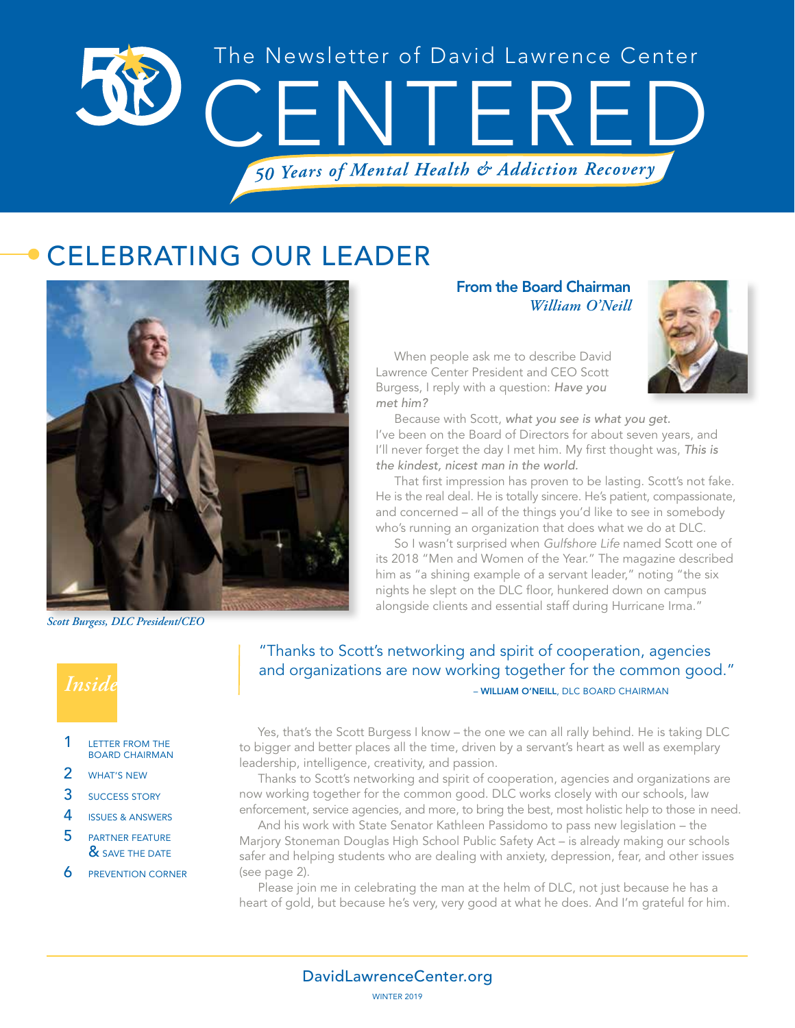

# CELEBRATING OUR LEADER



*Scott Burgess, DLC President/CEO*

# *Inside*

#### 1 LETTER FROM THE BOARD CHAIRMAN

- 2 **WHAT'S NEW**
- 3 SUCCESS STORY
- 4 ISSUES & ANSWERS
- 5 PARTNER FEATURE & SAVE THE DATE
- **6** PREVENTION CORNER

From the Board Chairman *William O'Neill*



When people ask me to describe David Lawrence Center President and CEO Scott Burgess, I reply with a question: *Have you met him?*

Because with Scott, *what you see is what you get.* I've been on the Board of Directors for about seven years, and I'll never forget the day I met him. My first thought was, *This is the kindest, nicest man in the world.*

That first impression has proven to be lasting. Scott's not fake. He is the real deal. He is totally sincere. He's patient, compassionate, and concerned – all of the things you'd like to see in somebody who's running an organization that does what we do at DLC.

So I wasn't surprised when *Gulfshore Life* named Scott one of its 2018 "Men and Women of the Year." The magazine described him as "a shining example of a servant leader," noting "the six nights he slept on the DLC floor, hunkered down on campus alongside clients and essential staff during Hurricane Irma."

 – WILLIAM O'NEILL, DLC BOARD CHAIRMAN "Thanks to Scott's networking and spirit of cooperation, agencies and organizations are now working together for the common good."

Yes, that's the Scott Burgess I know – the one we can all rally behind. He is taking DLC to bigger and better places all the time, driven by a servant's heart as well as exemplary leadership, intelligence, creativity, and passion.

Thanks to Scott's networking and spirit of cooperation, agencies and organizations are now working together for the common good. DLC works closely with our schools, law enforcement, service agencies, and more, to bring the best, most holistic help to those in need.

And his work with State Senator Kathleen Passidomo to pass new legislation – the Marjory Stoneman Douglas High School Public Safety Act – is already making our schools safer and helping students who are dealing with anxiety, depression, fear, and other issues (see page 2).

Please join me in celebrating the man at the helm of DLC, not just because he has a heart of gold, but because he's very, very good at what he does. And I'm grateful for him.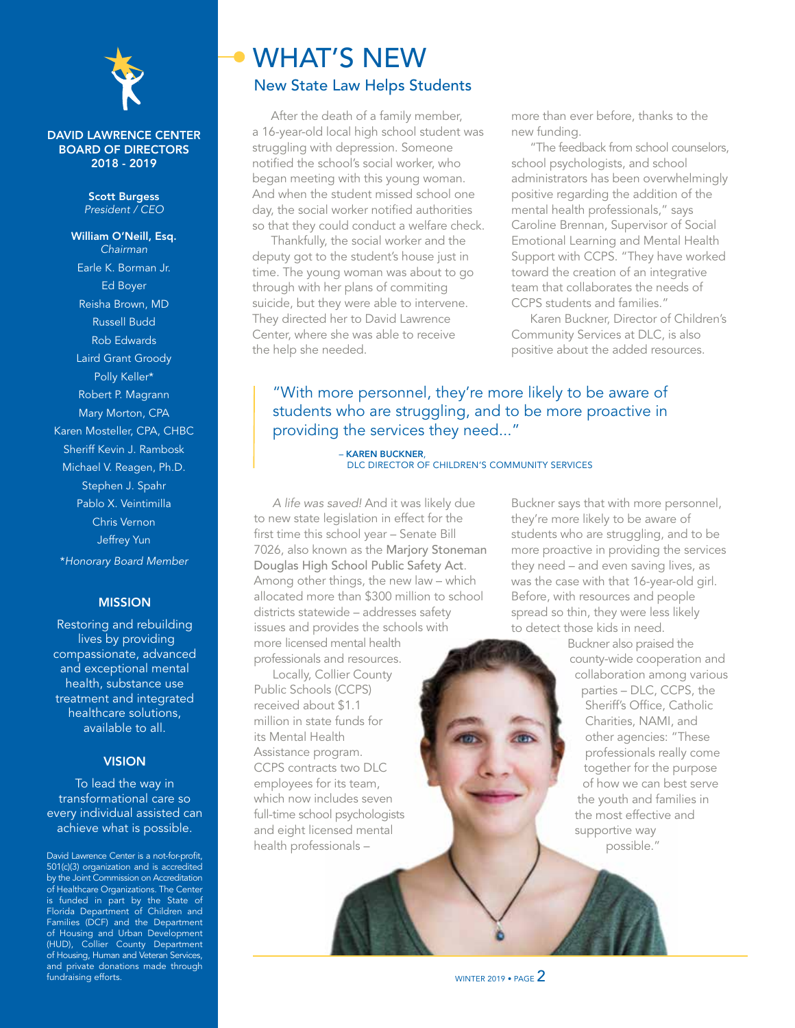

#### DAVID LAWRENCE CENTER BOARD OF DIRECTORS 2018 - 2019

#### Scott Burgess *President / CEO*

William O'Neill, Esq. *Chairman* Earle K. Borman Jr. Ed Boyer Reisha Brown, MD Russell Budd Rob Edwards Laird Grant Groody Polly Keller\* Robert P. Magrann Mary Morton, CPA Karen Mosteller, CPA, CHBC Sheriff Kevin J. Rambosk Michael V. Reagen, Ph.D. Stephen J. Spahr Pablo X. Veintimilla Chris Vernon Jeffrey Yun \**Honorary Board Member*

#### MISSION

Restoring and rebuilding lives by providing compassionate, advanced and exceptional mental health, substance use treatment and integrated healthcare solutions, available to all.

#### **VISION**

To lead the way in transformational care so every individual assisted can achieve what is possible.

David Lawrence Center is a not-for-profit, 501(c)(3) organization and is accredited by the Joint Commission on Accreditation of Healthcare Organizations. The Center is funded in part by the State of Florida Department of Children and Families (DCF) and the Department of Housing and Urban Development (HUD), Collier County Department of Housing, Human and Veteran Services, and private donations made through fundraising efforts.

# WHAT'S NEW New State Law Helps Students

After the death of a family member, a 16-year-old local high school student was struggling with depression. Someone notified the school's social worker, who began meeting with this young woman. And when the student missed school one day, the social worker notified authorities so that they could conduct a welfare check.

Thankfully, the social worker and the deputy got to the student's house just in time. The young woman was about to go through with her plans of commiting suicide, but they were able to intervene. They directed her to David Lawrence Center, where she was able to receive the help she needed.

more than ever before, thanks to the new funding.

"The feedback from school counselors, school psychologists, and school administrators has been overwhelmingly positive regarding the addition of the mental health professionals," says Caroline Brennan, Supervisor of Social Emotional Learning and Mental Health Support with CCPS. "They have worked toward the creation of an integrative team that collaborates the needs of CCPS students and families."

Karen Buckner, Director of Children's Community Services at DLC, is also positive about the added resources.

### "With more personnel, they're more likely to be aware of students who are struggling, and to be more proactive in providing the services they need..."

– KAREN BUCKNER DLC DIRECTOR OF CHILDREN'S COMMUNITY SERVICES

*A life was saved!* And it was likely due to new state legislation in effect for the first time this school year – Senate Bill 7026, also known as the Marjory Stoneman Douglas High School Public Safety Act. Among other things, the new law – which allocated more than \$300 million to school districts statewide – addresses safety issues and provides the schools with more licensed mental health professionals and resources.

Locally, Collier County Public Schools (CCPS) received about \$1.1 million in state funds for its Mental Health Assistance program. CCPS contracts two DLC employees for its team, which now includes seven full-time school psychologists and eight licensed mental health professionals –

Buckner says that with more personnel, they're more likely to be aware of students who are struggling, and to be more proactive in providing the services they need – and even saving lives, as was the case with that 16-year-old girl. Before, with resources and people spread so thin, they were less likely to detect those kids in need.

> Buckner also praised the county-wide cooperation and collaboration among various parties – DLC, CCPS, the Sheriff's Office, Catholic Charities, NAMI, and other agencies: "These professionals really come together for the purpose of how we can best serve the youth and families in the most effective and supportive way possible."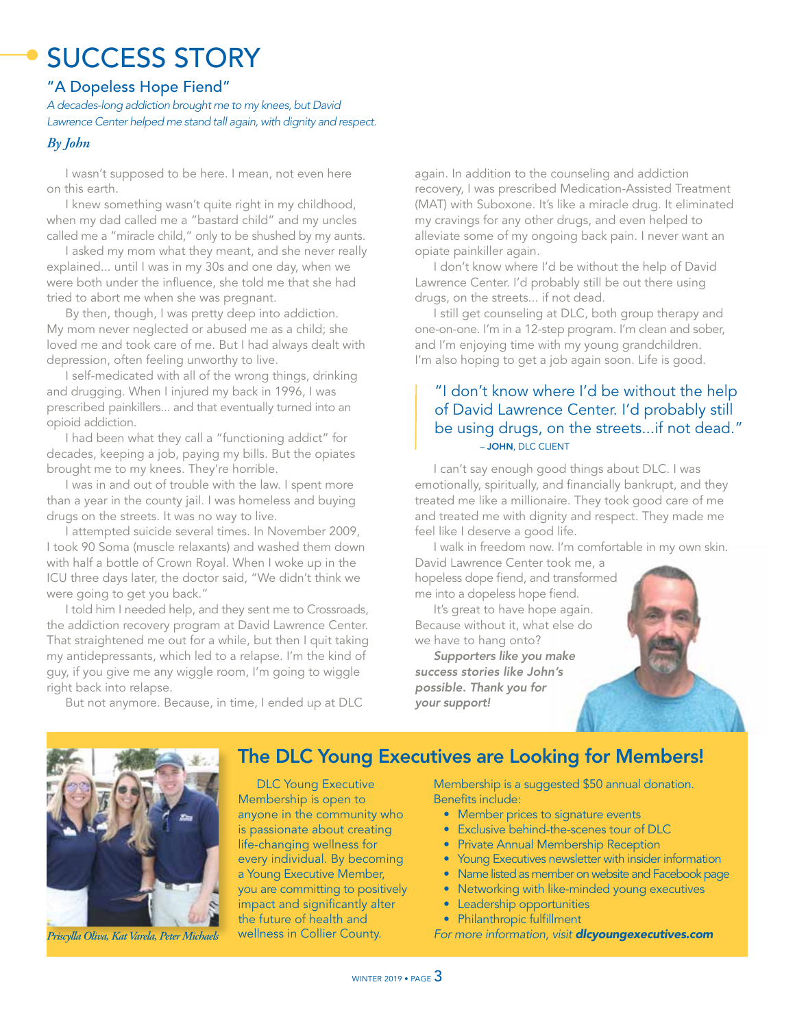# SUCCESS STORY

### "A Dopeless Hope Fiend"

*A decades-long addiction brought me to my knees, but David Lawrence Center helped me stand tall again, with dignity and respect.*

#### *By John*

I wasn't supposed to be here. I mean, not even here on this earth.

I knew something wasn't quite right in my childhood, when my dad called me a "bastard child" and my uncles called me a "miracle child," only to be shushed by my aunts.

I asked my mom what they meant, and she never really explained... until I was in my 30s and one day, when we were both under the influence, she told me that she had tried to abort me when she was pregnant.

By then, though, I was pretty deep into addiction. My mom never neglected or abused me as a child; she loved me and took care of me. But I had always dealt with depression, often feeling unworthy to live.

I self-medicated with all of the wrong things, drinking and drugging. When I injured my back in 1996, I was prescribed painkillers... and that eventually turned into an opioid addiction.

I had been what they call a "functioning addict" for decades, keeping a job, paying my bills. But the opiates brought me to my knees. They're horrible.

I was in and out of trouble with the law. I spent more than a year in the county jail. I was homeless and buying drugs on the streets. It was no way to live.

I attempted suicide several times. In November 2009, I took 90 Soma (muscle relaxants) and washed them down with half a bottle of Crown Royal. When I woke up in the ICU three days later, the doctor said, "We didn't think we were going to get you back."

I told him I needed help, and they sent me to Crossroads, the addiction recovery program at David Lawrence Center. That straightened me out for a while, but then I quit taking my antidepressants, which led to a relapse. I'm the kind of guy, if you give me any wiggle room, I'm going to wiggle right back into relapse.

again. In addition to the counseling and addiction recovery, I was prescribed Medication-Assisted Treatment (MAT) with Suboxone. It's like a miracle drug. It eliminated my cravings for any other drugs, and even helped to alleviate some of my ongoing back pain. I never want an opiate painkiller again.

I don't know where I'd be without the help of David Lawrence Center. I'd probably still be out there using drugs, on the streets... if not dead.

I still get counseling at DLC, both group therapy and one-on-one. I'm in a 12-step program. I'm clean and sober, and I'm enjoying time with my young grandchildren. I'm also hoping to get a job again soon. Life is good.

### – JOHN, DLC CLIENT "I don't know where I'd be without the help of David Lawrence Center. I'd probably still be using drugs, on the streets...if not dead."

I can't say enough good things about DLC. I was emotionally, spiritually, and financially bankrupt, and they treated me like a millionaire. They took good care of me and treated me with dignity and respect. They made me feel like I deserve a good life.

I walk in freedom now. I'm comfortable in my own skin.

David Lawrence Center took me, a hopeless dope fiend, and transformed me into a dopeless hope fiend.

It's great to have hope again. Because without it, what else do we have to hang onto?

*Supporters like you make success stories like John's possible. Thank you for your support!* 



But not anymore. Because, in time, I ended up at DLC



## The DLC Young Executives are Looking for Members!

DLC Young Executive Membership is open to anyone in the community who is passionate about creating life-changing wellness for every individual. By becoming a Young Executive Member, you are committing to positively impact and significantly alter the future of health and wellness in Collier County.

Membership is a suggested \$50 annual donation. Benefits include:

- Member prices to signature events
- Exclusive behind-the-scenes tour of DLC
- Private Annual Membership Reception
- Young Executives newsletter with insider information
- Name listed as member on website and Facebook page
- Networking with like-minded young executives
- Leadership opportunities
- Philanthropic fulfillment

#### *Priscylla Oliva, Kat Varela, Peter Michaels* vellness in Collier County. For more information, visit **dlcyoungexecutives.com**

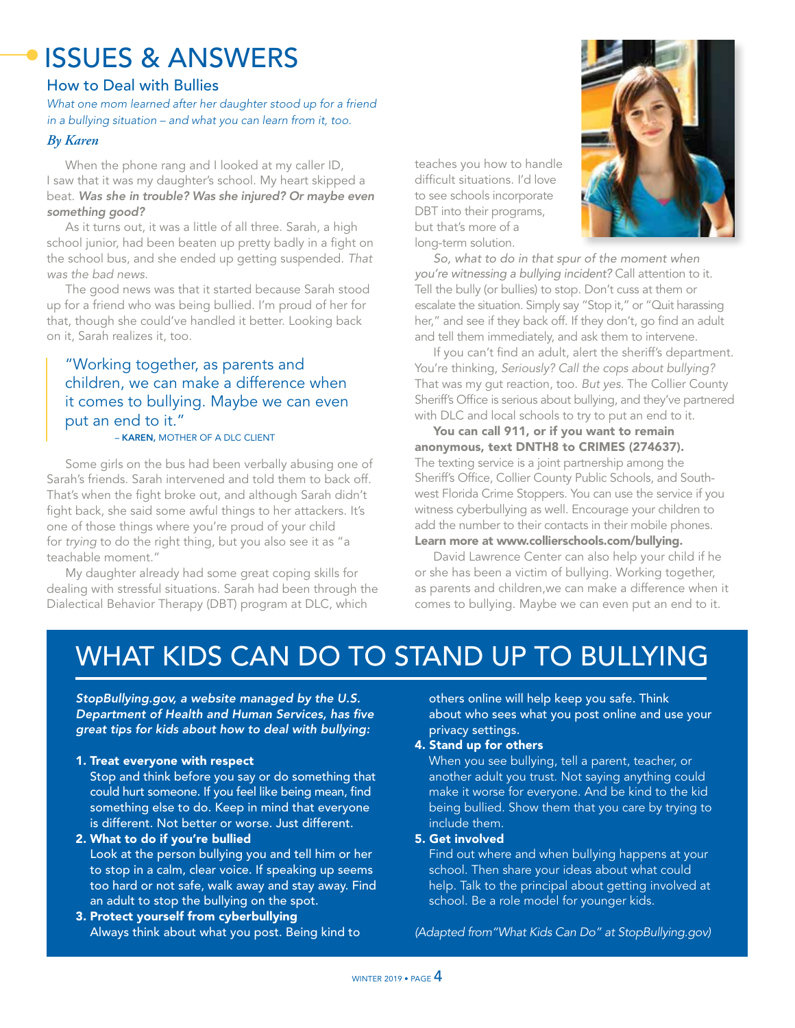# ISSUES & ANSWERS

### How to Deal with Bullies

*What one mom learned after her daughter stood up for a friend in a bullying situation – and what you can learn from it, too.* 

#### *By Karen*

When the phone rang and I looked at my caller ID, I saw that it was my daughter's school. My heart skipped a beat. *Was she in trouble? Was she injured? Or maybe even something good?*

As it turns out, it was a little of all three. Sarah, a high school junior, had been beaten up pretty badly in a fight on the school bus, and she ended up getting suspended. *That was the bad news.*

The good news was that it started because Sarah stood up for a friend who was being bullied. I'm proud of her for that, though she could've handled it better. Looking back on it, Sarah realizes it, too.

## "Working together, as parents and children, we can make a difference when it comes to bullying. Maybe we can even put an end to it."

#### – KAREN, MOTHER OF A DLC CLIENT

Some girls on the bus had been verbally abusing one of Sarah's friends. Sarah intervened and told them to back off. That's when the fight broke out, and although Sarah didn't fight back, she said some awful things to her attackers. It's one of those things where you're proud of your child for *trying* to do the right thing, but you also see it as "a teachable moment."

My daughter already had some great coping skills for dealing with stressful situations. Sarah had been through the Dialectical Behavior Therapy (DBT) program at DLC, which

teaches you how to handle difficult situations. I'd love to see schools incorporate DBT into their programs, but that's more of a long-term solution.



*So, what to do in that spur of the moment when you're witnessing a bullying incident?* Call attention to it. Tell the bully (or bullies) to stop. Don't cuss at them or escalate the situation. Simply say "Stop it," or "Quit harassing her," and see if they back off. If they don't, go find an adult and tell them immediately, and ask them to intervene.

If you can't find an adult, alert the sheriff's department. You're thinking, *Seriously? Call the cops about bullying?* That was my gut reaction, too. *But yes.* The Collier County Sheriff's Office is serious about bullying, and they've partnered with DLC and local schools to try to put an end to it.

You can call 911, or if you want to remain anonymous, text DNTH8 to CRIMES (274637). The texting service is a joint partnership among the Sheriff's Office, Collier County Public Schools, and Southwest Florida Crime Stoppers. You can use the service if you witness cyberbullying as well. Encourage your children to add the number to their contacts in their mobile phones. Learn more at www.collierschools.com/bullying.

David Lawrence Center can also help your child if he or she has been a victim of bullying. Working together, as parents and children,we can make a difference when it comes to bullying. Maybe we can even put an end to it.

# WHAT KIDS CAN DO TO STAND UP TO BULLYING

*StopBullying.gov, a website managed by the U.S. Department of Health and Human Services, has five great tips for kids about how to deal with bullying:*

#### 1. Treat everyone with respect

Stop and think before you say or do something that could hurt someone. If you feel like being mean, find something else to do. Keep in mind that everyone is different. Not better or worse. Just different.

2. What to do if you're bullied

Look at the person bullying you and tell him or her to stop in a calm, clear voice. If speaking up seems too hard or not safe, walk away and stay away. Find an adult to stop the bullying on the spot.

3. Protect yourself from cyberbullying Always think about what you post. Being kind to others online will help keep you safe. Think about who sees what you post online and use your privacy settings.

#### 4. Stand up for others

When you see bullying, tell a parent, teacher, or another adult you trust. Not saying anything could make it worse for everyone. And be kind to the kid being bullied. Show them that you care by trying to include them.

#### 5. Get involved

Find out where and when bullying happens at your school. Then share your ideas about what could help. Talk to the principal about getting involved at school. Be a role model for younger kids.

*(Adapted from"What Kids Can Do" at StopBullying.gov)*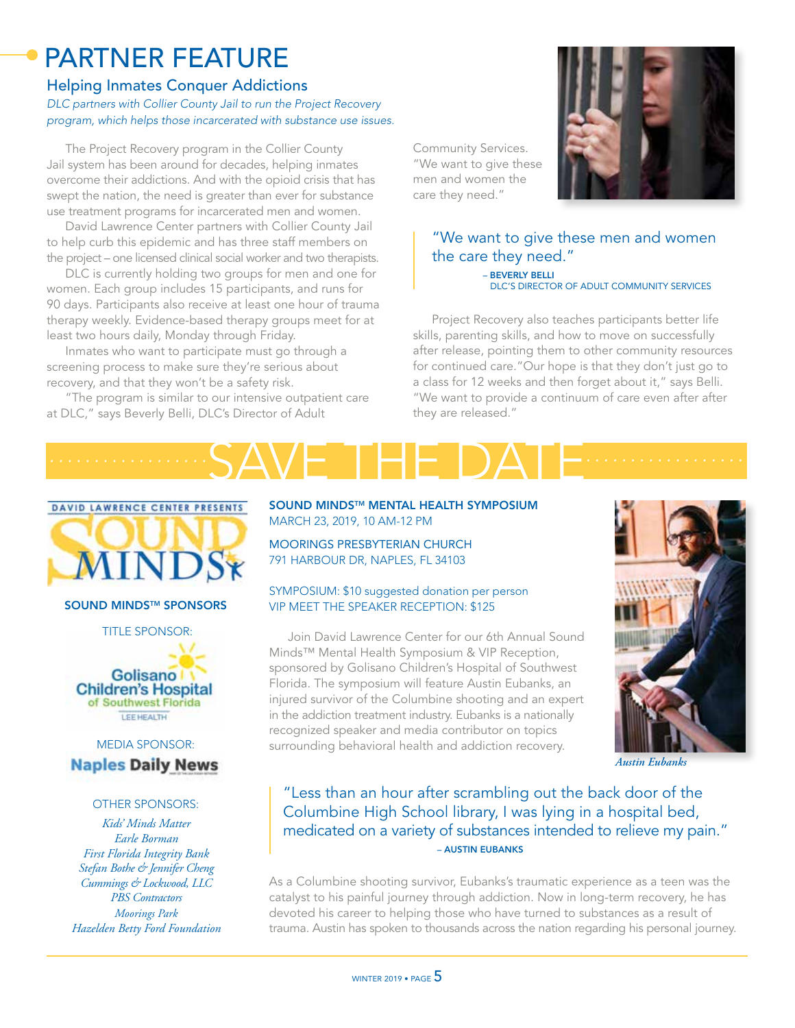# PARTNER FEATURE

#### Helping Inmates Conquer Addictions *DLC partners with Collier County Jail to run the Project Recovery program, which helps those incarcerated with substance use issues.*

The Project Recovery program in the Collier County Jail system has been around for decades, helping inmates overcome their addictions. And with the opioid crisis that has swept the nation, the need is greater than ever for substance use treatment programs for incarcerated men and women.

David Lawrence Center partners with Collier County Jail to help curb this epidemic and has three staff members on the project – one licensed clinical social worker and two therapists.

DLC is currently holding two groups for men and one for women. Each group includes 15 participants, and runs for 90 days. Participants also receive at least one hour of trauma therapy weekly. Evidence-based therapy groups meet for at least two hours daily, Monday through Friday.

Inmates who want to participate must go through a screening process to make sure they're serious about recovery, and that they won't be a safety risk.

"The program is similar to our intensive outpatient care at DLC," says Beverly Belli, DLC's Director of Adult

Community Services. "We want to give these men and women the care they need."



"We want to give these men and women the care they need." – BEVERLY BELLI DLC'S DIRECTOR OF ADULT COMMUNITY SERVICES

Project Recovery also teaches participants better life skills, parenting skills, and how to move on successfully after release, pointing them to other community resources for continued care."Our hope is that they don't just go to a class for 12 weeks and then forget about it," says Belli. "We want to provide a continuum of care even after after they are released."





SOUND MINDS™ SPONSORS

TITLE SPONSOR:



## MEDIA SPONSOR: **Naples Daily News**

#### OTHER SPONSORS:

*Kids' Minds Matter Earle Borman First Florida Integrity Bank Stefan Bothe & Jennifer Cheng Cummings & Lockwood, LLC PBS Contractors Moorings Park Hazelden Betty Ford Foundation* SOUND MINDS™ MENTAL HEALTH SYMPOSIUM MARCH 23, 2019, 10 AM-12 PM

MOORINGS PRESBYTERIAN CHURCH 791 HARBOUR DR, NAPLES, FL 34103

#### SYMPOSIUM: \$10 suggested donation per person VIP MEET THE SPEAKER RECEPTION: \$125

Join David Lawrence Center for our 6th Annual Sound Minds™ Mental Health Symposium & VIP Reception, sponsored by Golisano Children's Hospital of Southwest Florida. The symposium will feature Austin Eubanks, an injured survivor of the Columbine shooting and an expert in the addiction treatment industry. Eubanks is a nationally recognized speaker and media contributor on topics surrounding behavioral health and addiction recovery.



*Austin Eubanks*

### "Less than an hour after scrambling out the back door of the Columbine High School library, I was lying in a hospital bed, medicated on a variety of substances intended to relieve my pain." – AUSTIN EUBANKS

As a Columbine shooting survivor, Eubanks's traumatic experience as a teen was the catalyst to his painful journey through addiction. Now in long-term recovery, he has devoted his career to helping those who have turned to substances as a result of trauma. Austin has spoken to thousands across the nation regarding his personal journey.